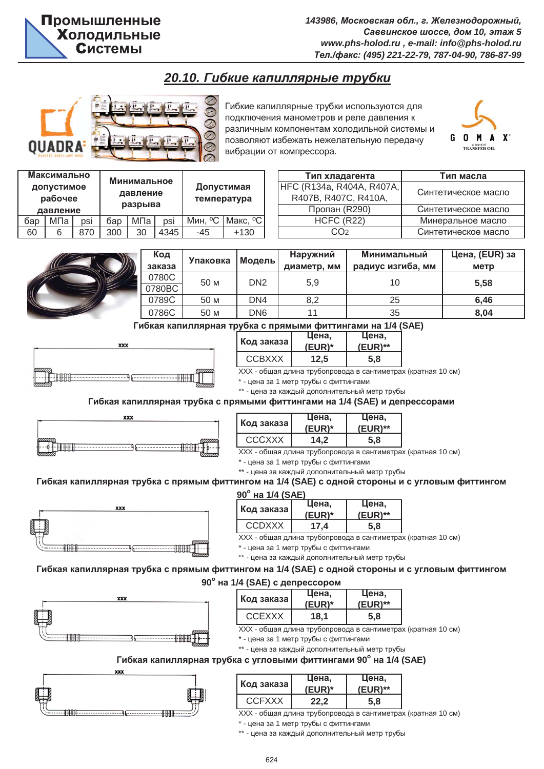# **20.10. Гибкие капиллярные трубки**



Гибкие капиллярные трубки используются для подключения манометров и реле давления к различным компонентам холодильной системы и позволяют избежать нежелательную передачу вибрации от компрессора.



| Максимально<br>допустимое<br>рабочее<br>давление |     | Минимальное<br>давление<br>разрыва |     | Допустимая<br>температура |      |         |          |
|--------------------------------------------------|-----|------------------------------------|-----|---------------------------|------|---------|----------|
| бар                                              | МПа | psi                                | бар | МПа                       | psi  | Мин, °С | Макс, °С |
| 60                                               | 6   | 870                                | 300 | 30                        | 4345 | -45     | $+130$   |

| Тип хладагента            | Тип масла           |
|---------------------------|---------------------|
| HFC (R134a, R404A, R407A, |                     |
| R407B, R407C, R410A,      | Синтетическое масло |
| Пропан (R290)             | Синтетическое масло |
| HCFC (R22)                | Минеральное масло   |
| כרי.                      | Синтетическое масло |



| Код<br>заказа | Упаковка | Модель          | Наружний<br>диаметр, мм | Минимальный<br>радиус изгиба, мм | Цена, (EUR) за<br>метр |
|---------------|----------|-----------------|-------------------------|----------------------------------|------------------------|
| 0780C         | 50 M     | DN <sub>2</sub> | 5,9                     | 10                               | 5,58                   |
| 0780BC        |          |                 |                         |                                  |                        |
| 0789C         | 50 M     | DN4             | 8,2                     | 25                               | 6,46                   |
| 0786C         | 50 M     | DN6             | 11                      | 35                               | 8,04                   |
| -             |          |                 |                         | $\cdots$                         |                        |

#### Гибкая капиллярная трубка с прямыми фиттингами на 1/4 (SAE)



| убка с прямыми фиттингами на 1/4 (S |                        |       |  |  |
|-------------------------------------|------------------------|-------|--|--|
|                                     | Цена.                  | Цена. |  |  |
| Код заказа <b> </b>                 | $(EUR)$ **<br>$(EUR)*$ |       |  |  |
| <b>CCBXXX</b>                       | 12,5                   | 5.8   |  |  |

XXX - общая длина трубопровода в сантиметрах (кратная 10 см)

\* - цена за 1 метр трубы с фиттингами

\*\* - цена за каждый дополнительный метр трубы

#### Гибкая капиллярная трубка с прямыми фиттингами на 1/4 (SAE) и депрессорами



| Код заказа    | Цена,<br>$(EUR)*$ | Цена,<br>$(EUR)$ ** |
|---------------|-------------------|---------------------|
| <b>CCCXXX</b> | 14,2              | 5,8                 |
| 11111         |                   |                     |

XXX - общая длина трубопровода в сантиметрах (кратная 10 см)

\* - цена за 1 метр трубы с фиттингами

\*\* - цена за каждый дополнительный метр трубы

### Гибкая капиллярная трубка с прямым фиттингом на 1/4 (SAE) с одной стороны и с угловым фиттингом



| $90^{\circ}$<br>на 1/4 (SAE) |        |            |  |  |
|------------------------------|--------|------------|--|--|
|                              | Цена.  | Цена,      |  |  |
| Код заказа                   | (EUR)* | $(EUR)$ ** |  |  |
| <b>CCDXXX</b>                | 17.4   | 5.8        |  |  |

XXX - общая длина трубопровода в сантиметрах (кратная 10 см)

\* - цена за 1 метр трубы с фиттингами

\*\* - цена за каждый дополнительный метр трубы

# Гибкая капиллярная трубка с прямым фиттингом на 1/4 (SAE) с одной стороны и с угловым фиттингом

#### **90°** на 1/4 (SAE) с депрессором



| Код заказа I  | цена,<br>$(EUR)^*$ | Цена,<br>$(EUR)$ ** |
|---------------|--------------------|---------------------|
| <b>CCEXXX</b> | 18.1               | 5.8                 |

XXX - общая длина трубопровода в сантиметрах (кратная 10 см)

\* - цена за 1 метр трубы с фиттингами

\*\* - цена за каждый дополнительный метр трубы

#### **Гибкая капиллярная трубка с угловыми фиттингами 90° на 1/4 (SAE)**



| Код заказа    | Цена,<br>(EUR)* | цена.<br>(EUR)** |
|---------------|-----------------|------------------|
| <b>CCFXXX</b> | 22 Z            | 5.8              |

XXX - общая длина трубопровода в сантиметрах (кратная 10 см)

\* - цена за 1 метр трубы с фиттингами

\*\* - цена за каждый дополнительный метр трубы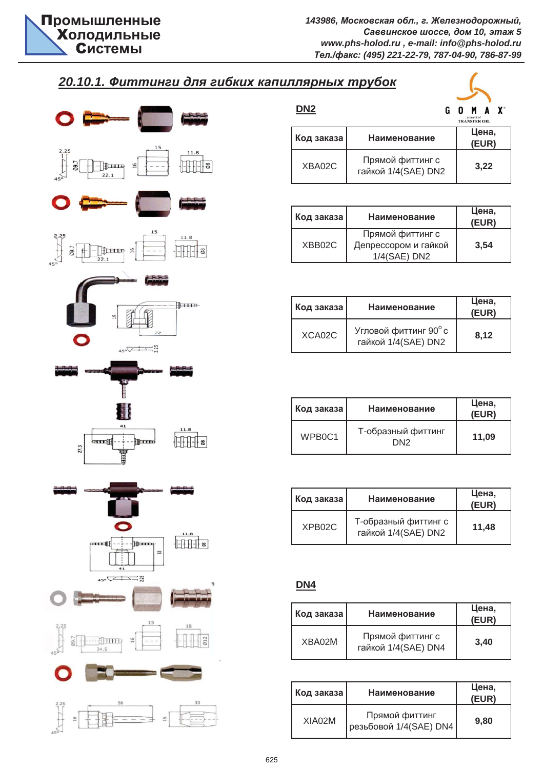7

# $20.10.1.$  Фиттинги для гибких капиллярных трубок



| ייט פעווו גושווועווו |                                         |                                   |                |                |
|----------------------|-----------------------------------------|-----------------------------------|----------------|----------------|
| DN <sub>2</sub>      |                                         | a brand of<br><b>TRANSFER OIL</b> |                | $\mathbf{X}^*$ |
| Код заказа           | Наименование                            |                                   | Цена,<br>(EUR) |                |
| XBA02C               | Прямой фиттинг с<br>гайкой 1/4(SAE) DN2 |                                   | 3,22           |                |

| Код заказа | <b>Наименование</b>                                      | Цена,<br>(EUR) |
|------------|----------------------------------------------------------|----------------|
| XBB02C     | Прямой фиттинг с<br>Депрессором и гайкой<br>1/4(SAE) DN2 | 3.54           |

| Код заказа | Наименование                                 | Цена,<br>(EUR) |  |
|------------|----------------------------------------------|----------------|--|
| XCA02C     | Угловой фиттинг 90° с<br>гайкой 1/4(SAE) DN2 | 8.12           |  |

| Код заказа                      | Наименование              |       |
|---------------------------------|---------------------------|-------|
| WPB <sub>0</sub> C <sub>1</sub> | Т-образный фиттинг<br>DN2 | 11.09 |

| Код заказа          | Наименование                                | Цена,<br>(EUR) |
|---------------------|---------------------------------------------|----------------|
| XPB <sub>02</sub> C | Т-образный фиттинг с<br>гайкой 1/4(SAE) DN2 | 11,48          |

## **DN4**

| Код заказа | Наименование                            | Цена,<br>(EUR) |
|------------|-----------------------------------------|----------------|
| XBA02M     | Прямой фиттинг с<br>гайкой 1/4(SAE) DN4 | 3.40           |

| Код заказа | <b>Наименование</b>                      | Цена,<br>(EUR) |
|------------|------------------------------------------|----------------|
| XIA02M     | Прямой фиттинг<br>резьбовой 1/4(SAE) DN4 | 9.80           |